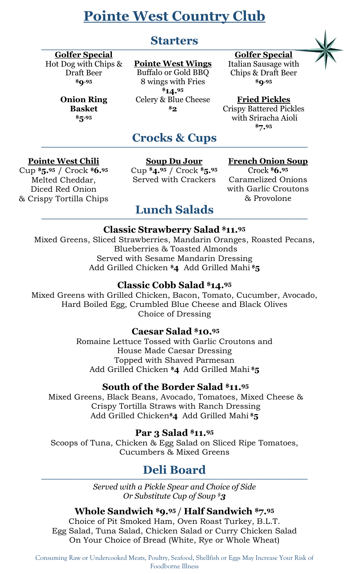# **Pointe West Country Club**

# **Starters**

## **Golfer Special**

Hot Dog with Chips & Draft Beer **\$9.95**

> **Onion Ring Basket \$5.95**

#### **Pointe West Wings**

Buffalo or Gold BBQ 8 wings with Fries **\$14. 95** Celery & Blue Cheese **\$2**

#### **\_\_\_\_\_\_\_\_\_\_\_\_\_\_\_\_\_\_\_\_\_\_\_\_\_\_\_\_\_\_\_\_\_\_\_\_\_\_\_\_\_\_\_\_\_\_\_\_\_\_\_\_\_\_\_\_\_\_\_\_\_\_\_\_\_\_\_\_\_\_\_\_\_\_\_\_\_\_\_\_\_\_\_\_\_\_\_\_\_\_\_\_\_\_\_\_\_\_\_\_\_\_\_\_\_\_\_\_\_\_\_\_\_\_\_\_\_\_\_\_\_\_\_\_\_\_\_\_\_\_\_\_\_ Golfer Special**

Italian Sausage with Chips & Draft Beer **\$9.95**

#### **Fried Pickles**

Crispy Battered Pickles with Sriracha Aioli **\$7. 95**

#### **Pointe West Chili**

Cup **\$5. <sup>95</sup>** / Crock **\$6. 95** Melted Cheddar, Diced Red Onion & Crispy Tortilla Chips

#### **Soup Du Jour**

**Crocks & Cups \_\_\_\_\_\_\_\_\_\_\_\_\_\_\_\_\_\_\_\_\_\_\_\_\_\_\_\_\_\_\_\_\_\_\_\_\_\_\_\_\_\_\_\_\_\_\_\_\_\_\_\_\_\_\_\_\_\_\_\_\_\_\_\_\_\_\_\_\_\_\_\_\_\_\_\_\_\_\_\_\_\_\_\_\_\_\_\_\_\_\_\_\_\_\_\_\_\_\_\_\_\_\_\_\_\_\_\_\_\_\_\_\_\_\_\_\_\_\_\_\_\_\_\_\_\_\_\_\_\_\_\_\_**

> Cup **\$4. <sup>95</sup>** / Crock **\$5. 95** Served with Crackers

#### **French Onion Soup**

Crock **\$6. 95** Caramelized Onions with Garlic Croutons & Provolone

#### **Lunch Salads \_\_\_\_\_\_\_\_\_\_\_\_\_\_\_\_\_\_\_\_\_\_\_\_\_\_\_\_\_\_\_\_\_\_\_\_\_\_\_\_\_\_\_\_\_\_\_\_\_\_\_\_\_\_\_\_\_\_\_\_\_\_\_\_\_\_\_\_\_\_\_\_\_\_\_\_\_\_\_\_\_\_\_\_\_\_\_\_\_\_\_\_\_\_\_\_\_\_\_\_\_\_\_\_\_\_\_\_\_\_\_\_\_\_\_\_\_\_\_\_\_\_\_\_\_\_\_\_\_\_\_\_\_**

#### **Classic Strawberry Salad \$11. 95**

Mixed Greens, Sliced Strawberries, Mandarin Oranges, Roasted Pecans, Blueberries & Toasted Almonds Served with Sesame Mandarin Dressing Add Grilled Chicken **\$4** Add Grilled Mahi **\$5**

### **Classic Cobb Salad \$14. 95**

Mixed Greens with Grilled Chicken, Bacon, Tomato, Cucumber, Avocado, Hard Boiled Egg, Crumbled Blue Cheese and Black Olives Choice of Dressing

#### **Caesar Salad \$10. 95**

Romaine Lettuce Tossed with Garlic Croutons and House Made Caesar Dressing Topped with Shaved Parmesan Add Grilled Chicken **\$4** Add Grilled Mahi **\$5**

### **South of the Border Salad \$11. 95**

Mixed Greens, Black Beans, Avocado, Tomatoes, Mixed Cheese & Crispy Tortilla Straws with Ranch Dressing Add Grilled Chicken**\$4** Add Grilled Mahi **\$5**

**Par 3 Salad \$11. 95**

Scoops of Tuna, Chicken & Egg Salad on Sliced Ripe Tomatoes, Cucumbers & Mixed Greens

#### **Deli Board \_\_\_\_\_\_\_\_\_\_\_\_\_\_\_\_\_\_\_\_\_\_\_\_\_\_\_\_\_\_\_\_\_\_\_\_\_\_\_\_\_\_\_\_\_\_\_\_\_\_\_\_\_\_\_\_\_\_\_\_\_\_\_\_\_\_\_\_\_\_\_\_\_\_\_\_\_\_\_\_\_\_\_\_\_\_\_\_\_\_\_\_\_\_\_\_\_\_\_\_\_\_\_\_\_\_\_\_\_\_\_\_\_\_\_\_\_\_\_\_\_\_\_\_\_\_\_\_\_\_\_\_\_\_\_\_\_\_\_\_\_\_\_\_\_\_\_\_\_\_\_\_\_\_\_\_\_\_\_\_\_\_\_\_\_\_\_\_\_\_\_\_\_\_\_\_\_\_\_\_\_\_\_\_\_\_\_**

*Served with a Pickle Spear and Choice of Side Or Substitute Cup of Soup \$3*

#### **Whole Sandwich \$9. <sup>95</sup>** / **Half Sandwich \$7.<sup>95</sup>**

Choice of Pit Smoked Ham, Oven Roast Turkey, B.L.T. Egg Salad, Tuna Salad, Chicken Salad or Curry Chicken Salad On Your Choice of Bread (White, Rye or Whole Wheat)

Consuming Raw or Undercooked Meats, Poultry, Seafood, Shellfish or Eggs May Increase Your Risk of Foodborne Illness